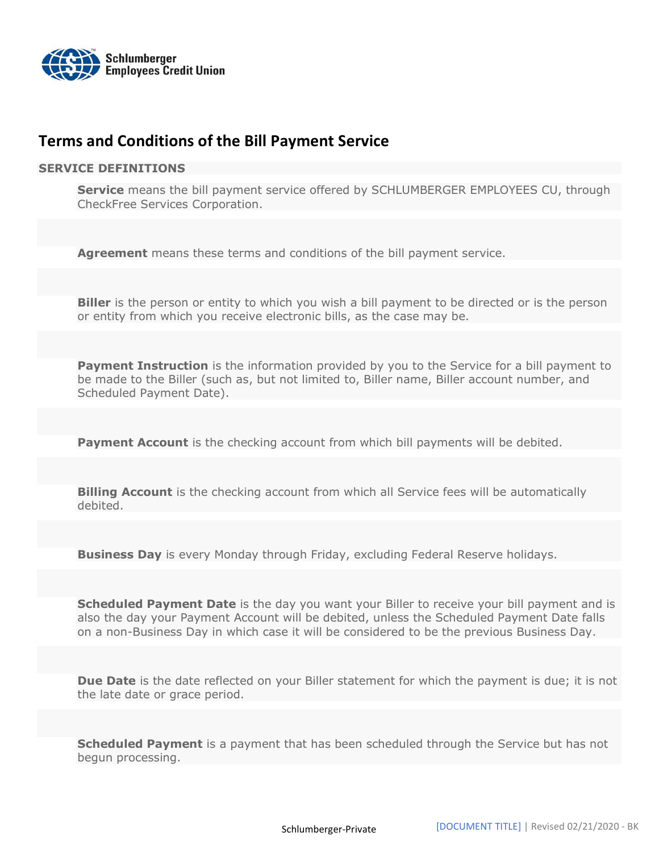

# Terms and Conditions of the Bill Payment Service

#### SERVICE DEFINITIONS

Service means the bill payment service offered by SCHLUMBERGER EMPLOYEES CU, through CheckFree Services Corporation.

Agreement means these terms and conditions of the bill payment service.

**Biller** is the person or entity to which you wish a bill payment to be directed or is the person or entity from which you receive electronic bills, as the case may be.

**Payment Instruction** is the information provided by you to the Service for a bill payment to be made to the Biller (such as, but not limited to, Biller name, Biller account number, and Scheduled Payment Date).

**Payment Account** is the checking account from which bill payments will be debited.

**Billing Account** is the checking account from which all Service fees will be automatically debited.

**Business Day** is every Monday through Friday, excluding Federal Reserve holidays.

Scheduled Payment Date is the day you want your Biller to receive your bill payment and is also the day your Payment Account will be debited, unless the Scheduled Payment Date falls on a non-Business Day in which case it will be considered to be the previous Business Day.

Due Date is the date reflected on your Biller statement for which the payment is due; it is not the late date or grace period.

**Scheduled Payment** is a payment that has been scheduled through the Service but has not begun processing.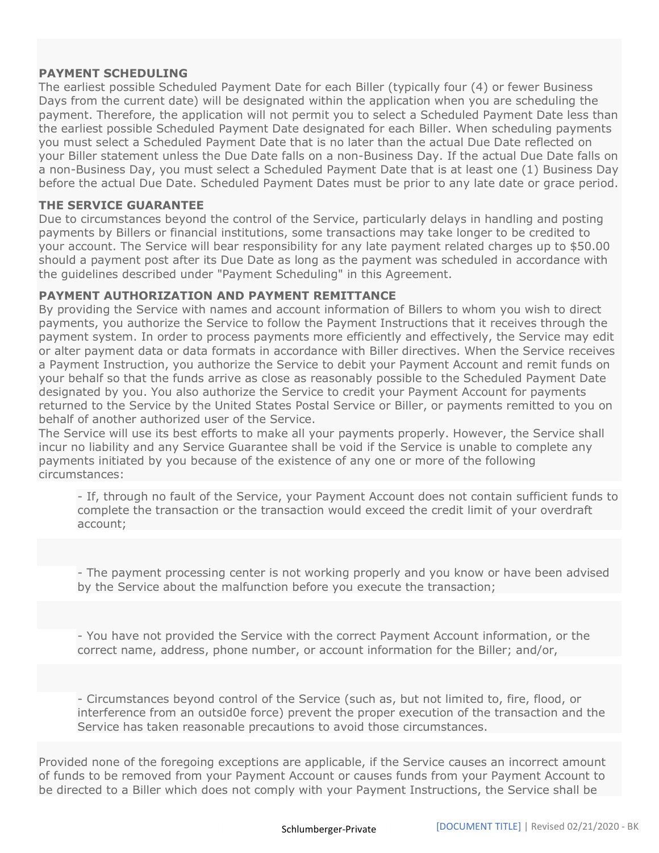# PAYMENT SCHEDULING

The earliest possible Scheduled Payment Date for each Biller (typically four (4) or fewer Business Days from the current date) will be designated within the application when you are scheduling the payment. Therefore, the application will not permit you to select a Scheduled Payment Date less than the earliest possible Scheduled Payment Date designated for each Biller. When scheduling payments you must select a Scheduled Payment Date that is no later than the actual Due Date reflected on your Biller statement unless the Due Date falls on a non-Business Day. If the actual Due Date falls on a non-Business Day, you must select a Scheduled Payment Date that is at least one (1) Business Day before the actual Due Date. Scheduled Payment Dates must be prior to any late date or grace period.

### THE SERVICE GUARANTEE

Due to circumstances beyond the control of the Service, particularly delays in handling and posting payments by Billers or financial institutions, some transactions may take longer to be credited to your account. The Service will bear responsibility for any late payment related charges up to \$50.00 should a payment post after its Due Date as long as the payment was scheduled in accordance with the guidelines described under "Payment Scheduling" in this Agreement.

### PAYMENT AUTHORIZATION AND PAYMENT REMITTANCE

By providing the Service with names and account information of Billers to whom you wish to direct payments, you authorize the Service to follow the Payment Instructions that it receives through the payment system. In order to process payments more efficiently and effectively, the Service may edit or alter payment data or data formats in accordance with Biller directives. When the Service receives a Payment Instruction, you authorize the Service to debit your Payment Account and remit funds on your behalf so that the funds arrive as close as reasonably possible to the Scheduled Payment Date designated by you. You also authorize the Service to credit your Payment Account for payments returned to the Service by the United States Postal Service or Biller, or payments remitted to you on behalf of another authorized user of the Service.

The Service will use its best efforts to make all your payments properly. However, the Service shall incur no liability and any Service Guarantee shall be void if the Service is unable to complete any payments initiated by you because of the existence of any one or more of the following circumstances:

- If, through no fault of the Service, your Payment Account does not contain sufficient funds to complete the transaction or the transaction would exceed the credit limit of your overdraft account;

- The payment processing center is not working properly and you know or have been advised by the Service about the malfunction before you execute the transaction;

- You have not provided the Service with the correct Payment Account information, or the correct name, address, phone number, or account information for the Biller; and/or,

- Circumstances beyond control of the Service (such as, but not limited to, fire, flood, or interference from an outsid0e force) prevent the proper execution of the transaction and the Service has taken reasonable precautions to avoid those circumstances.

Provided none of the foregoing exceptions are applicable, if the Service causes an incorrect amount of funds to be removed from your Payment Account or causes funds from your Payment Account to be directed to a Biller which does not comply with your Payment Instructions, the Service shall be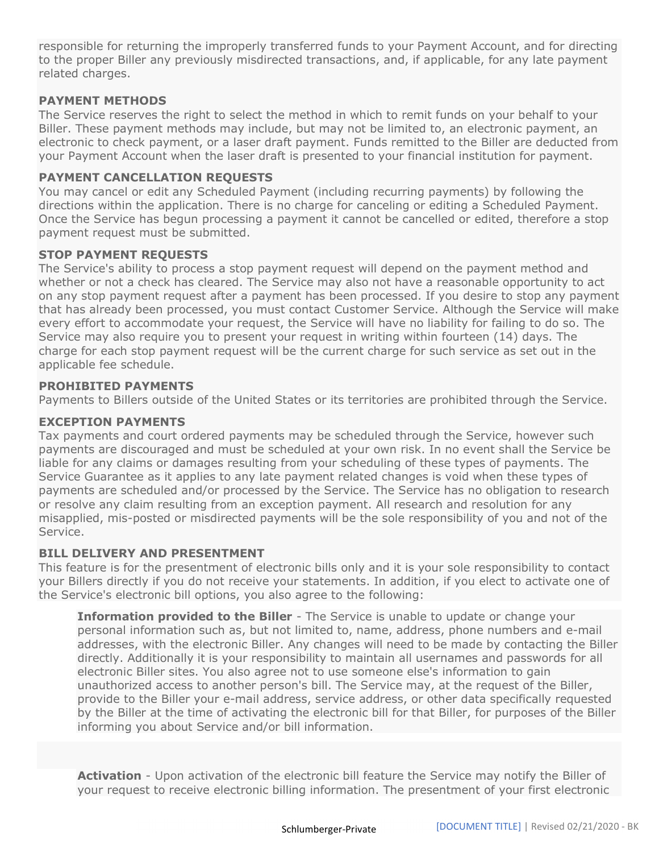responsible for returning the improperly transferred funds to your Payment Account, and for directing to the proper Biller any previously misdirected transactions, and, if applicable, for any late payment related charges.

# PAYMENT METHODS

The Service reserves the right to select the method in which to remit funds on your behalf to your Biller. These payment methods may include, but may not be limited to, an electronic payment, an electronic to check payment, or a laser draft payment. Funds remitted to the Biller are deducted from your Payment Account when the laser draft is presented to your financial institution for payment.

# PAYMENT CANCELLATION REQUESTS

You may cancel or edit any Scheduled Payment (including recurring payments) by following the directions within the application. There is no charge for canceling or editing a Scheduled Payment. Once the Service has begun processing a payment it cannot be cancelled or edited, therefore a stop payment request must be submitted.

# STOP PAYMENT REQUESTS

The Service's ability to process a stop payment request will depend on the payment method and whether or not a check has cleared. The Service may also not have a reasonable opportunity to act on any stop payment request after a payment has been processed. If you desire to stop any payment that has already been processed, you must contact Customer Service. Although the Service will make every effort to accommodate your request, the Service will have no liability for failing to do so. The Service may also require you to present your request in writing within fourteen (14) days. The charge for each stop payment request will be the current charge for such service as set out in the applicable fee schedule.

# PROHIBITED PAYMENTS

Payments to Billers outside of the United States or its territories are prohibited through the Service.

# EXCEPTION PAYMENTS

Tax payments and court ordered payments may be scheduled through the Service, however such payments are discouraged and must be scheduled at your own risk. In no event shall the Service be liable for any claims or damages resulting from your scheduling of these types of payments. The Service Guarantee as it applies to any late payment related changes is void when these types of payments are scheduled and/or processed by the Service. The Service has no obligation to research or resolve any claim resulting from an exception payment. All research and resolution for any misapplied, mis-posted or misdirected payments will be the sole responsibility of you and not of the Service.

# BILL DELIVERY AND PRESENTMENT

This feature is for the presentment of electronic bills only and it is your sole responsibility to contact your Billers directly if you do not receive your statements. In addition, if you elect to activate one of the Service's electronic bill options, you also agree to the following:

**Information provided to the Biller** - The Service is unable to update or change your personal information such as, but not limited to, name, address, phone numbers and e-mail addresses, with the electronic Biller. Any changes will need to be made by contacting the Biller directly. Additionally it is your responsibility to maintain all usernames and passwords for all electronic Biller sites. You also agree not to use someone else's information to gain unauthorized access to another person's bill. The Service may, at the request of the Biller, provide to the Biller your e-mail address, service address, or other data specifically requested by the Biller at the time of activating the electronic bill for that Biller, for purposes of the Biller informing you about Service and/or bill information.

Activation - Upon activation of the electronic bill feature the Service may notify the Biller of your request to receive electronic billing information. The presentment of your first electronic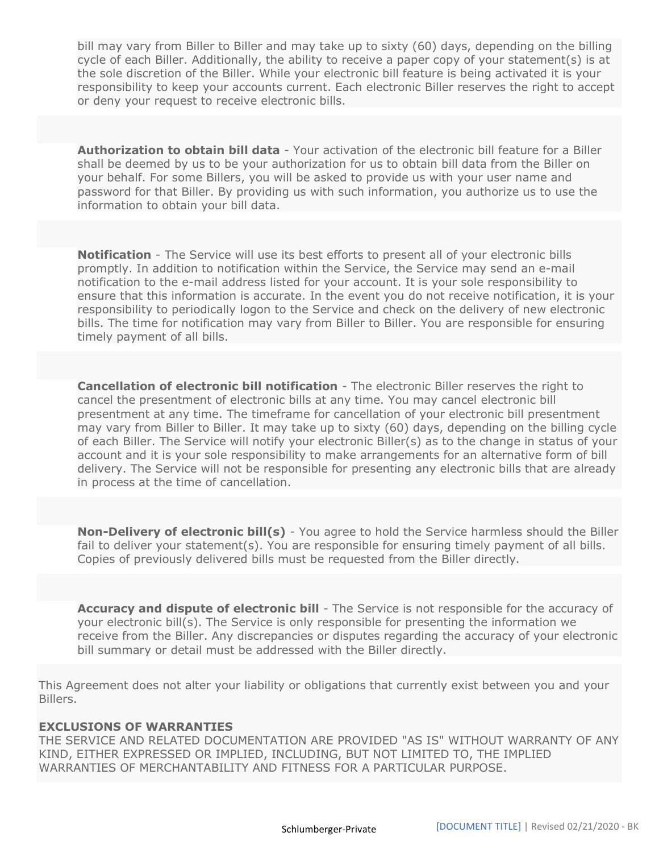bill may vary from Biller to Biller and may take up to sixty (60) days, depending on the billing cycle of each Biller. Additionally, the ability to receive a paper copy of your statement(s) is at the sole discretion of the Biller. While your electronic bill feature is being activated it is your responsibility to keep your accounts current. Each electronic Biller reserves the right to accept or deny your request to receive electronic bills.

**Authorization to obtain bill data** - Your activation of the electronic bill feature for a Biller shall be deemed by us to be your authorization for us to obtain bill data from the Biller on your behalf. For some Billers, you will be asked to provide us with your user name and password for that Biller. By providing us with such information, you authorize us to use the information to obtain your bill data.

Notification - The Service will use its best efforts to present all of your electronic bills promptly. In addition to notification within the Service, the Service may send an e-mail notification to the e-mail address listed for your account. It is your sole responsibility to ensure that this information is accurate. In the event you do not receive notification, it is your responsibility to periodically logon to the Service and check on the delivery of new electronic bills. The time for notification may vary from Biller to Biller. You are responsible for ensuring timely payment of all bills.

Cancellation of electronic bill notification - The electronic Biller reserves the right to cancel the presentment of electronic bills at any time. You may cancel electronic bill presentment at any time. The timeframe for cancellation of your electronic bill presentment may vary from Biller to Biller. It may take up to sixty (60) days, depending on the billing cycle of each Biller. The Service will notify your electronic Biller(s) as to the change in status of your account and it is your sole responsibility to make arrangements for an alternative form of bill delivery. The Service will not be responsible for presenting any electronic bills that are already in process at the time of cancellation.

Non-Delivery of electronic bill(s) - You agree to hold the Service harmless should the Biller fail to deliver your statement(s). You are responsible for ensuring timely payment of all bills. Copies of previously delivered bills must be requested from the Biller directly.

**Accuracy and dispute of electronic bill** - The Service is not responsible for the accuracy of your electronic bill(s). The Service is only responsible for presenting the information we receive from the Biller. Any discrepancies or disputes regarding the accuracy of your electronic bill summary or detail must be addressed with the Biller directly.

This Agreement does not alter your liability or obligations that currently exist between you and your Billers.

### EXCLUSIONS OF WARRANTIES

THE SERVICE AND RELATED DOCUMENTATION ARE PROVIDED "AS IS" WITHOUT WARRANTY OF ANY KIND, EITHER EXPRESSED OR IMPLIED, INCLUDING, BUT NOT LIMITED TO, THE IMPLIED WARRANTIES OF MERCHANTABILITY AND FITNESS FOR A PARTICULAR PURPOSE.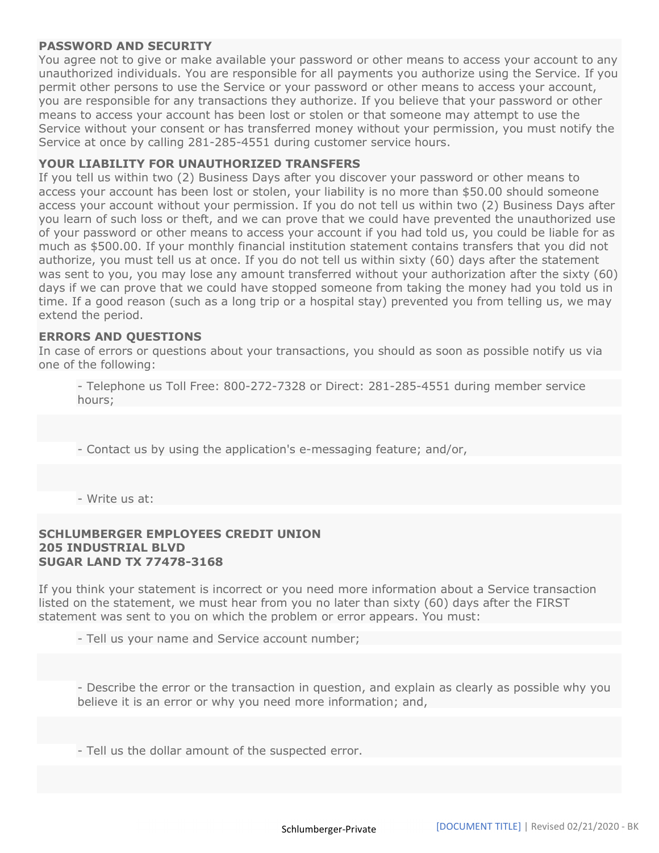#### PASSWORD AND SECURITY

You agree not to give or make available your password or other means to access your account to any unauthorized individuals. You are responsible for all payments you authorize using the Service. If you permit other persons to use the Service or your password or other means to access your account, you are responsible for any transactions they authorize. If you believe that your password or other means to access your account has been lost or stolen or that someone may attempt to use the Service without your consent or has transferred money without your permission, you must notify the Service at once by calling 281-285-4551 during customer service hours.

### YOUR LIABILITY FOR UNAUTHORIZED TRANSFERS

If you tell us within two (2) Business Days after you discover your password or other means to access your account has been lost or stolen, your liability is no more than \$50.00 should someone access your account without your permission. If you do not tell us within two (2) Business Days after you learn of such loss or theft, and we can prove that we could have prevented the unauthorized use of your password or other means to access your account if you had told us, you could be liable for as much as \$500.00. If your monthly financial institution statement contains transfers that you did not authorize, you must tell us at once. If you do not tell us within sixty (60) days after the statement was sent to you, you may lose any amount transferred without your authorization after the sixty (60) days if we can prove that we could have stopped someone from taking the money had you told us in time. If a good reason (such as a long trip or a hospital stay) prevented you from telling us, we may extend the period.

#### ERRORS AND QUESTIONS

In case of errors or questions about your transactions, you should as soon as possible notify us via one of the following:

- Telephone us Toll Free: 800-272-7328 or Direct: 281-285-4551 during member service hours;

- Contact us by using the application's e-messaging feature; and/or,

- Write us at:

#### SCHLUMBERGER EMPLOYEES CREDIT UNION 205 INDUSTRIAL BLVD SUGAR LAND TX 77478-3168

If you think your statement is incorrect or you need more information about a Service transaction listed on the statement, we must hear from you no later than sixty (60) days after the FIRST statement was sent to you on which the problem or error appears. You must:

- Tell us your name and Service account number;

- Describe the error or the transaction in question, and explain as clearly as possible why you believe it is an error or why you need more information; and,

- Tell us the dollar amount of the suspected error.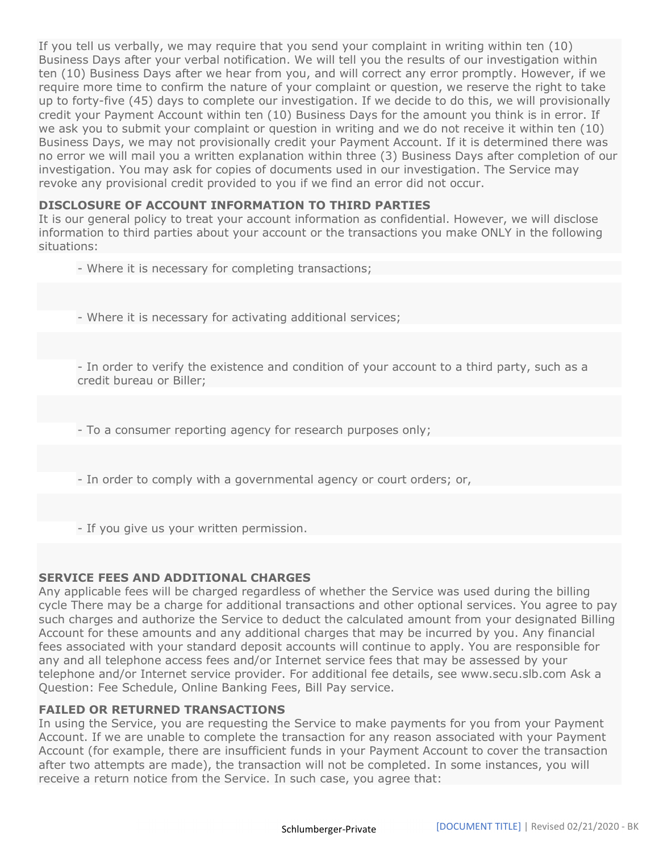If you tell us verbally, we may require that you send your complaint in writing within ten (10) Business Days after your verbal notification. We will tell you the results of our investigation within ten (10) Business Days after we hear from you, and will correct any error promptly. However, if we require more time to confirm the nature of your complaint or question, we reserve the right to take up to forty-five (45) days to complete our investigation. If we decide to do this, we will provisionally credit your Payment Account within ten (10) Business Days for the amount you think is in error. If we ask you to submit your complaint or question in writing and we do not receive it within ten (10) Business Days, we may not provisionally credit your Payment Account. If it is determined there was no error we will mail you a written explanation within three (3) Business Days after completion of our investigation. You may ask for copies of documents used in our investigation. The Service may revoke any provisional credit provided to you if we find an error did not occur.

# DISCLOSURE OF ACCOUNT INFORMATION TO THIRD PARTIES

It is our general policy to treat your account information as confidential. However, we will disclose information to third parties about your account or the transactions you make ONLY in the following situations:

- Where it is necessary for completing transactions;
- Where it is necessary for activating additional services;

- In order to verify the existence and condition of your account to a third party, such as a credit bureau or Biller;

- To a consumer reporting agency for research purposes only;

- In order to comply with a governmental agency or court orders; or,
- If you give us your written permission.

#### SERVICE FEES AND ADDITIONAL CHARGES

Any applicable fees will be charged regardless of whether the Service was used during the billing cycle There may be a charge for additional transactions and other optional services. You agree to pay such charges and authorize the Service to deduct the calculated amount from your designated Billing Account for these amounts and any additional charges that may be incurred by you. Any financial fees associated with your standard deposit accounts will continue to apply. You are responsible for any and all telephone access fees and/or Internet service fees that may be assessed by your telephone and/or Internet service provider. For additional fee details, see www.secu.slb.com Ask a Question: Fee Schedule, Online Banking Fees, Bill Pay service.

# FAILED OR RETURNED TRANSACTIONS

In using the Service, you are requesting the Service to make payments for you from your Payment Account. If we are unable to complete the transaction for any reason associated with your Payment Account (for example, there are insufficient funds in your Payment Account to cover the transaction after two attempts are made), the transaction will not be completed. In some instances, you will receive a return notice from the Service. In such case, you agree that: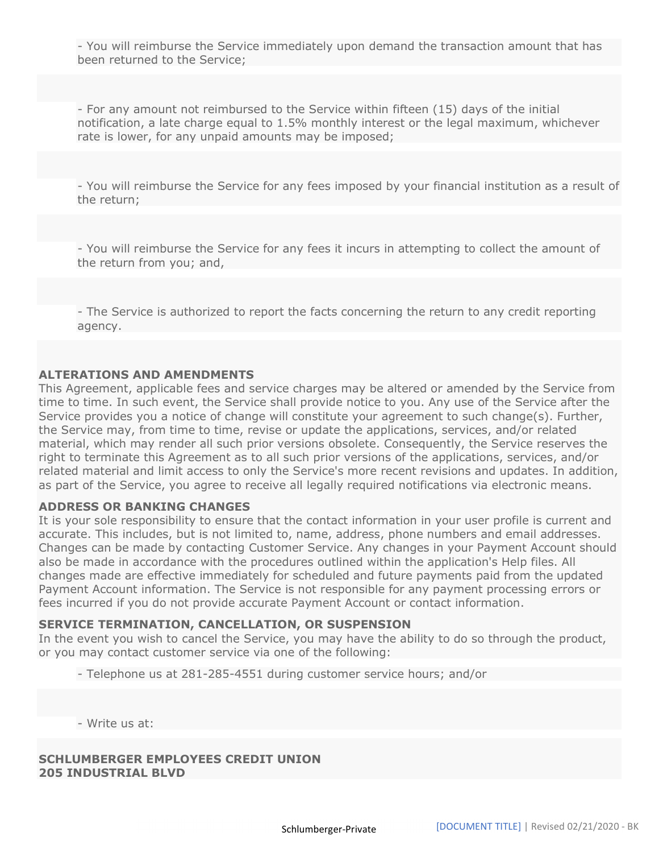- You will reimburse the Service immediately upon demand the transaction amount that has been returned to the Service;

- For any amount not reimbursed to the Service within fifteen (15) days of the initial notification, a late charge equal to 1.5% monthly interest or the legal maximum, whichever rate is lower, for any unpaid amounts may be imposed;

- You will reimburse the Service for any fees imposed by your financial institution as a result of the return;

- You will reimburse the Service for any fees it incurs in attempting to collect the amount of the return from you; and,

- The Service is authorized to report the facts concerning the return to any credit reporting agency.

### ALTERATIONS AND AMENDMENTS

This Agreement, applicable fees and service charges may be altered or amended by the Service from time to time. In such event, the Service shall provide notice to you. Any use of the Service after the Service provides you a notice of change will constitute your agreement to such change(s). Further, the Service may, from time to time, revise or update the applications, services, and/or related material, which may render all such prior versions obsolete. Consequently, the Service reserves the right to terminate this Agreement as to all such prior versions of the applications, services, and/or related material and limit access to only the Service's more recent revisions and updates. In addition, as part of the Service, you agree to receive all legally required notifications via electronic means.

#### ADDRESS OR BANKING CHANGES

It is your sole responsibility to ensure that the contact information in your user profile is current and accurate. This includes, but is not limited to, name, address, phone numbers and email addresses. Changes can be made by contacting Customer Service. Any changes in your Payment Account should also be made in accordance with the procedures outlined within the application's Help files. All changes made are effective immediately for scheduled and future payments paid from the updated Payment Account information. The Service is not responsible for any payment processing errors or fees incurred if you do not provide accurate Payment Account or contact information.

#### SERVICE TERMINATION, CANCELLATION, OR SUSPENSION

In the event you wish to cancel the Service, you may have the ability to do so through the product, or you may contact customer service via one of the following:

- Telephone us at 281-285-4551 during customer service hours; and/or

- Write us at:

SCHLUMBERGER EMPLOYEES CREDIT UNION 205 INDUSTRIAL BLVD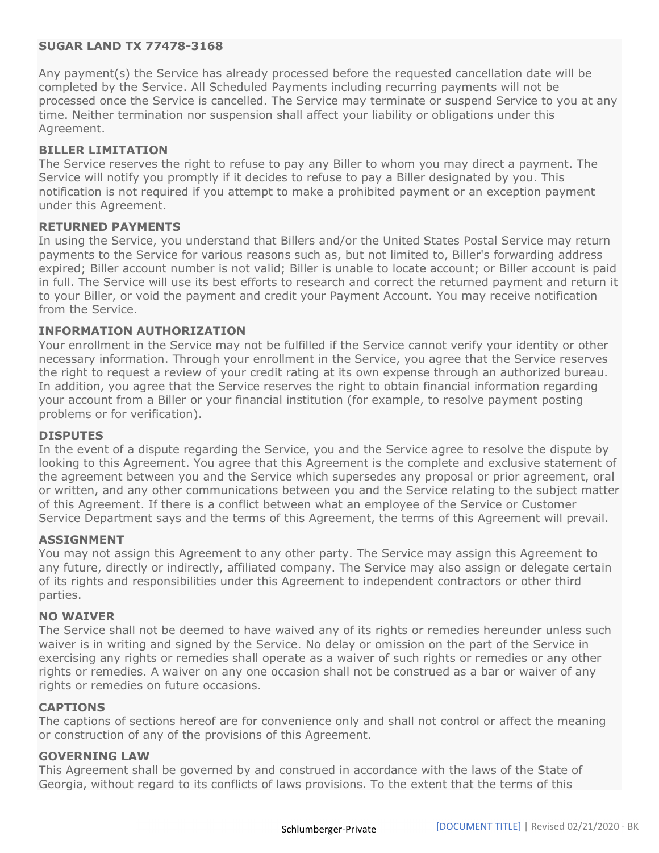# SUGAR LAND TX 77478-3168

Any payment(s) the Service has already processed before the requested cancellation date will be completed by the Service. All Scheduled Payments including recurring payments will not be processed once the Service is cancelled. The Service may terminate or suspend Service to you at any time. Neither termination nor suspension shall affect your liability or obligations under this Agreement.

### BILLER LIMITATION

The Service reserves the right to refuse to pay any Biller to whom you may direct a payment. The Service will notify you promptly if it decides to refuse to pay a Biller designated by you. This notification is not required if you attempt to make a prohibited payment or an exception payment under this Agreement.

# RETURNED PAYMENTS

In using the Service, you understand that Billers and/or the United States Postal Service may return payments to the Service for various reasons such as, but not limited to, Biller's forwarding address expired; Biller account number is not valid; Biller is unable to locate account; or Biller account is paid in full. The Service will use its best efforts to research and correct the returned payment and return it to your Biller, or void the payment and credit your Payment Account. You may receive notification from the Service.

### INFORMATION AUTHORIZATION

Your enrollment in the Service may not be fulfilled if the Service cannot verify your identity or other necessary information. Through your enrollment in the Service, you agree that the Service reserves the right to request a review of your credit rating at its own expense through an authorized bureau. In addition, you agree that the Service reserves the right to obtain financial information regarding your account from a Biller or your financial institution (for example, to resolve payment posting problems or for verification).

#### DISPUTES

In the event of a dispute regarding the Service, you and the Service agree to resolve the dispute by looking to this Agreement. You agree that this Agreement is the complete and exclusive statement of the agreement between you and the Service which supersedes any proposal or prior agreement, oral or written, and any other communications between you and the Service relating to the subject matter of this Agreement. If there is a conflict between what an employee of the Service or Customer Service Department says and the terms of this Agreement, the terms of this Agreement will prevail.

#### ASSIGNMENT

You may not assign this Agreement to any other party. The Service may assign this Agreement to any future, directly or indirectly, affiliated company. The Service may also assign or delegate certain of its rights and responsibilities under this Agreement to independent contractors or other third parties.

#### NO WAIVER

The Service shall not be deemed to have waived any of its rights or remedies hereunder unless such waiver is in writing and signed by the Service. No delay or omission on the part of the Service in exercising any rights or remedies shall operate as a waiver of such rights or remedies or any other rights or remedies. A waiver on any one occasion shall not be construed as a bar or waiver of any rights or remedies on future occasions.

#### CAPTIONS

The captions of sections hereof are for convenience only and shall not control or affect the meaning or construction of any of the provisions of this Agreement.

#### GOVERNING LAW

This Agreement shall be governed by and construed in accordance with the laws of the State of Georgia, without regard to its conflicts of laws provisions. To the extent that the terms of this